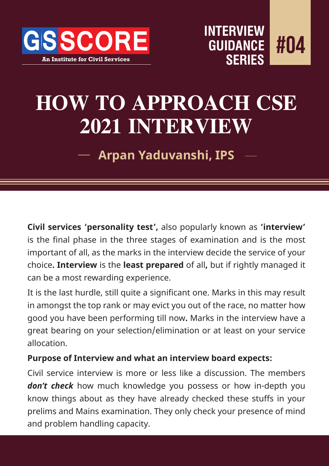



# **HOW TO APPROACH CSE 2021 INTERVIEW**

**Arpan Yaduvanshi, IPS**

**Civil services 'personality test',** also popularly known as **'interview'**  is the final phase in the three stages of examination and is the most important of all, as the marks in the interview decide the service of your choice**. Interview** is the **least prepared** of all**,** but if rightly managed it can be a most rewarding experience.

It is the last hurdle, still quite a significant one. Marks in this may result in amongst the top rank or may evict you out of the race, no matter how good you have been performing till now**.** Marks in the interview have a great bearing on your selection/elimination or at least on your service allocation.

#### **Purpose of Interview and what an interview board expects:**

Civil service interview is more or less like a discussion. The members don't check how much knowledge you possess or how in-depth you know things about as they have already checked these stuffs in your prelims and Mains examination. They only check your presence of mind and problem handling capacity.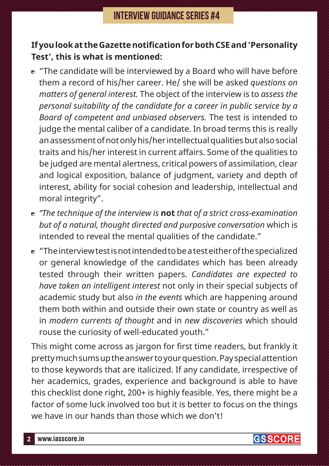#### **If you look at the Gazette notification for both CSE and 'Personality Test', this is what is mentioned:**

- $\bullet$  "The candidate will be interviewed by a Board who will have before them a record of his/her career. He/ she will be asked *questions on matters of general interest.* The object of the interview is to *assess the personal suitability of the candidate for a career in public service by a Board of competent and unbiased observers.* The test is intended to judge the mental caliber of a candidate. In broad terms this is really an assessment of not only his/her intellectual qualities but also social traits and his/her interest in current affairs. Some of the qualities to be judged are mental alertness, critical powers of assimilation, clear and logical exposition, balance of judgment, variety and depth of interest, ability for social cohesion and leadership, intellectual and moral integrity".
- *"The technique of the interview is* **not** *that of a strict cross-examination but of a natural, thought directed and purposive conversation* which is intended to reveal the mental qualities of the candidate."
- $\bullet$  "The interview test is not intended to be a test either of the specialized or general knowledge of the candidates which has been already tested through their written papers. *Candidates are expected to have taken an intelligent interest* not only in their special subjects of academic study but also *in the events* which are happening around them both within and outside their own state or country as well as in *modern currents of thought* and in *new discoveries* which should rouse the curiosity of well-educated youth."

This might come across as jargon for first time readers, but frankly it pretty much sums up the answer to your question. Pay special attention to those keywords that are italicized. If any candidate, irrespective of her academics, grades, experience and background is able to have this checklist done right, 200+ is highly feasible. Yes, there might be a factor of some luck involved too but it is better to focus on the things we have in our hands than those which we don't!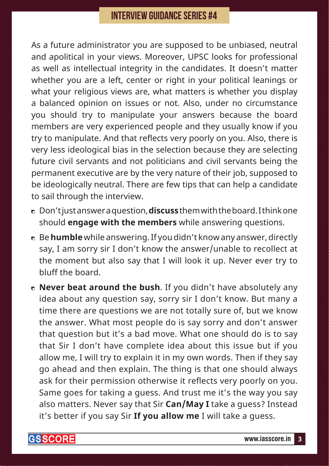#### **INTERVIEW GUIDANCE SERIES #4**

As a future administrator you are supposed to be unbiased, neutral and apolitical in your views. Moreover, UPSC looks for professional as well as intellectual integrity in the candidates. It doesn't matter whether you are a left, center or right in your political leanings or what your religious views are, what matters is whether you display a balanced opinion on issues or not. Also, under no circumstance you should try to manipulate your answers because the board members are very experienced people and they usually know if you try to manipulate. And that reflects very poorly on you. Also, there is very less ideological bias in the selection because they are selecting future civil servants and not politicians and civil servants being the permanent executive are by the very nature of their job, supposed to be ideologically neutral. There are few tips that can help a candidate to sail through the interview.

- Don't just answer a question, **discuss** them with the board. I think one should **engage with the members** while answering questions.
- Be **humble** while answering. If you didn't know any answer, directly say, I am sorry sir I don't know the answer/unable to recollect at the moment but also say that I will look it up. Never ever try to bluff the board.
- **Never beat around the bush**. If you didn't have absolutely any idea about any question say, sorry sir I don't know. But many a time there are questions we are not totally sure of, but we know the answer. What most people do is say sorry and don't answer that question but it's a bad move. What one should do is to say that Sir I don't have complete idea about this issue but if you allow me, I will try to explain it in my own words. Then if they say go ahead and then explain. The thing is that one should always ask for their permission otherwise it reflects very poorly on you. Same goes for taking a guess. And trust me it's the way you say also matters. Never say that Sir **Can/May I** take a guess? Instead it's better if you say Sir **If you allow me** I will take a guess.

**GSSCORE**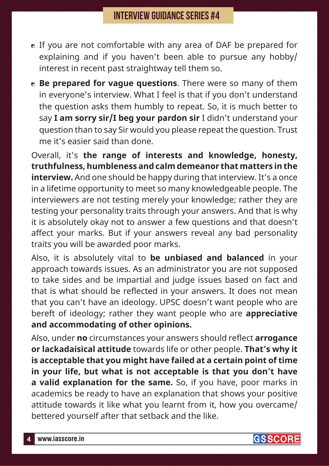### **INTERVIEW GUIDANCE SERIES #4**

- If you are not comfortable with any area of DAF be prepared for explaining and if you haven't been able to pursue any hobby/ interest in recent past straightway tell them so.
- **Be prepared for vague questions**. There were so many of them in everyone's interview. What I feel is that if you don't understand the question asks them humbly to repeat. So, it is much better to say **I am sorry sir/I beg your pardon sir** I didn't understand your question than to say Sir would you please repeat the question. Trust me it's easier said than done.

Overall, it's **the range of interests and knowledge, honesty, truthfulness, humbleness and calm demeanor that matters in the interview.** And one should be happy during that interview. It's a once in a lifetime opportunity to meet so many knowledgeable people. The interviewers are not testing merely your knowledge; rather they are testing your personality traits through your answers. And that is why it is absolutely okay not to answer a few questions and that doesn't affect your marks. But if your answers reveal any bad personality traits you will be awarded poor marks.

Also, it is absolutely vital to **be unbiased and balanced** in your approach towards issues. As an administrator you are not supposed to take sides and be impartial and judge issues based on fact and that is what should be reflected in your answers. It does not mean that you can't have an ideology. UPSC doesn't want people who are bereft of ideology; rather they want people who are **appreciative and accommodating of other opinions.**

Also, under **no** circumstances your answers should reflect **arrogance or lackadaisical attitude** towards life or other people. **That's why it is acceptable that you might have failed at a certain point of time in your life, but what is not acceptable is that you don't have a valid explanation for the same.** So, if you have, poor marks in academics be ready to have an explanation that shows your positive attitude towards it like what you learnt from it, how you overcame/ bettered yourself after that setback and the like.

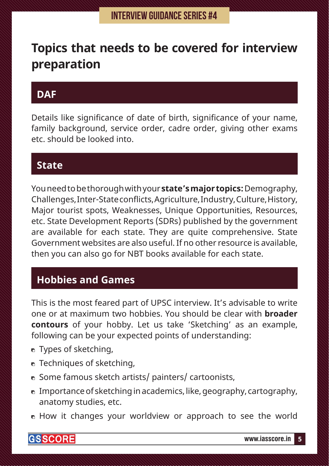# **Topics that needs to be covered for interview preparation**

# **DAF**

Details like significance of date of birth, significance of your name, family background, service order, cadre order, giving other exams etc. should be looked into.

### **State**

You need to be thorough with your **state's major topics:** Demography, Challenges, Inter-State conflicts, Agriculture, Industry, Culture, History, Major tourist spots, Weaknesses, Unique Opportunities, Resources, etc. State Development Reports (SDRs) published by the government are available for each state. They are quite comprehensive. State Government websites are also useful. If no other resource is available, then you can also go for NBT books available for each state.

## **Hobbies and Games**

This is the most feared part of UPSC interview. It's advisable to write one or at maximum two hobbies. You should be clear with **broader contours** of your hobby. Let us take 'Sketching' as an example, following can be your expected points of understanding:

- **n** Types of sketching,
- **n** Techniques of sketching,
- Some famous sketch artists/ painters/ cartoonists,
- $\bullet$  Importance of sketching in academics, like, geography, cartography, anatomy studies, etc.
- **E** How it changes your worldview or approach to see the world

**GSSCORE**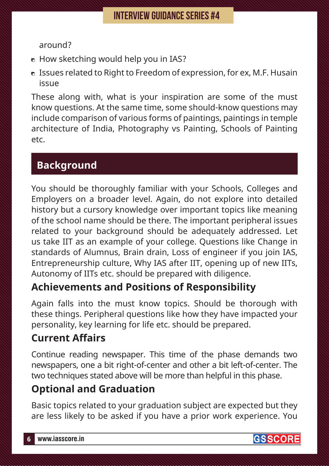#### around?

- $\bullet$  How sketching would help you in IAS?
- Issues related to Right to Freedom of expression, for ex, M.F. Husain issue

These along with, what is your inspiration are some of the must know questions. At the same time, some should-know questions may include comparison of various forms of paintings, paintings in temple architecture of India, Photography vs Painting, Schools of Painting etc.

# **Background**

You should be thoroughly familiar with your Schools, Colleges and Employers on a broader level. Again, do not explore into detailed history but a cursory knowledge over important topics like meaning of the school name should be there. The important peripheral issues related to your background should be adequately addressed. Let us take IIT as an example of your college. Questions like Change in standards of Alumnus, Brain drain, Loss of engineer if you join IAS, Entrepreneurship culture, Why IAS after IIT, opening up of new IITs, Autonomy of IITs etc. should be prepared with diligence.

# **Achievements and Positions of Responsibility**

Again falls into the must know topics. Should be thorough with these things. Peripheral questions like how they have impacted your personality, key learning for life etc. should be prepared.

# **Current Affairs**

Continue reading newspaper. This time of the phase demands two newspapers, one a bit right-of-center and other a bit left-of-center. The two techniques stated above will be more than helpful in this phase.

# **Optional and Graduation**

Basic topics related to your graduation subject are expected but they are less likely to be asked if you have a prior work experience. You

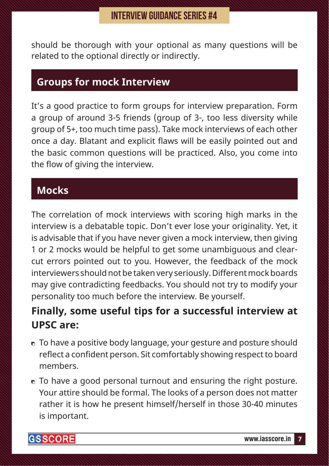should be thorough with your optional as many questions will be related to the optional directly or indirectly.

### **Groups for mock Interview**

It's a good practice to form groups for interview preparation. Form a group of around 3-5 friends (group of 3-, too less diversity while group of 5+, too much time pass). Take mock interviews of each other once a day. Blatant and explicit flaws will be easily pointed out and the basic common questions will be practiced. Also, you come into the flow of giving the interview.

# **Mocks**

The correlation of mock interviews with scoring high marks in the interview is a debatable topic. Don't ever lose your originality. Yet, it is advisable that if you have never given a mock interview, then giving 1 or 2 mocks would be helpful to get some unambiguous and clearcut errors pointed out to you. However, the feedback of the mock interviewers should not be taken very seriously. Different mock boards may give contradicting feedbacks. You should not try to modify your personality too much before the interview. Be yourself.

# **Finally, some useful tips for a successful interview at UPSC are:**

- To have a positive body language, your gesture and posture should reflect a confident person. Sit comfortably showing respect to board members.
- To have a good personal turnout and ensuring the right posture. Your attire should be formal. The looks of a person does not matter rather it is how he present himself/herself in those 30-40 minutes is important.

**GSSCORE**